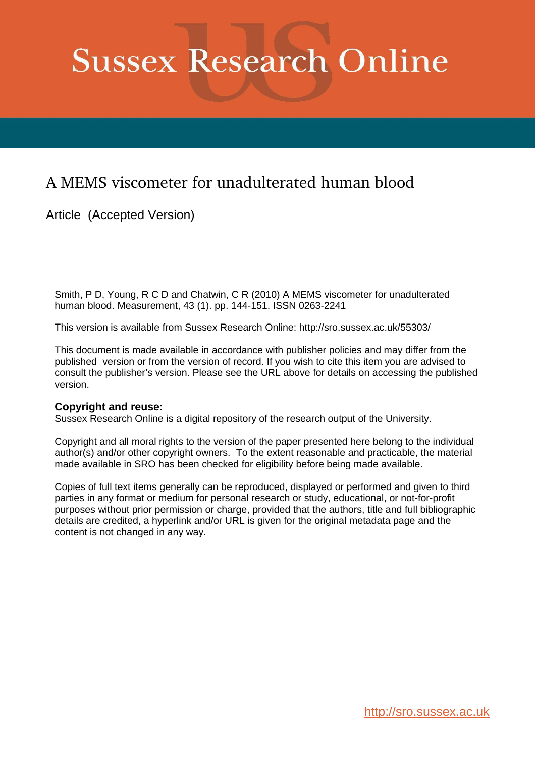# **Sussex Research Online**

## A MEMS viscometer for unadulterated human blood

Article (Accepted Version)

Smith, P D, Young, R C D and Chatwin, C R (2010) A MEMS viscometer for unadulterated human blood. Measurement, 43 (1). pp. 144-151. ISSN 0263-2241

This version is available from Sussex Research Online: http://sro.sussex.ac.uk/55303/

This document is made available in accordance with publisher policies and may differ from the published version or from the version of record. If you wish to cite this item you are advised to consult the publisher's version. Please see the URL above for details on accessing the published version.

#### **Copyright and reuse:**

Sussex Research Online is a digital repository of the research output of the University.

Copyright and all moral rights to the version of the paper presented here belong to the individual author(s) and/or other copyright owners. To the extent reasonable and practicable, the material made available in SRO has been checked for eligibility before being made available.

Copies of full text items generally can be reproduced, displayed or performed and given to third parties in any format or medium for personal research or study, educational, or not-for-profit purposes without prior permission or charge, provided that the authors, title and full bibliographic details are credited, a hyperlink and/or URL is given for the original metadata page and the content is not changed in any way.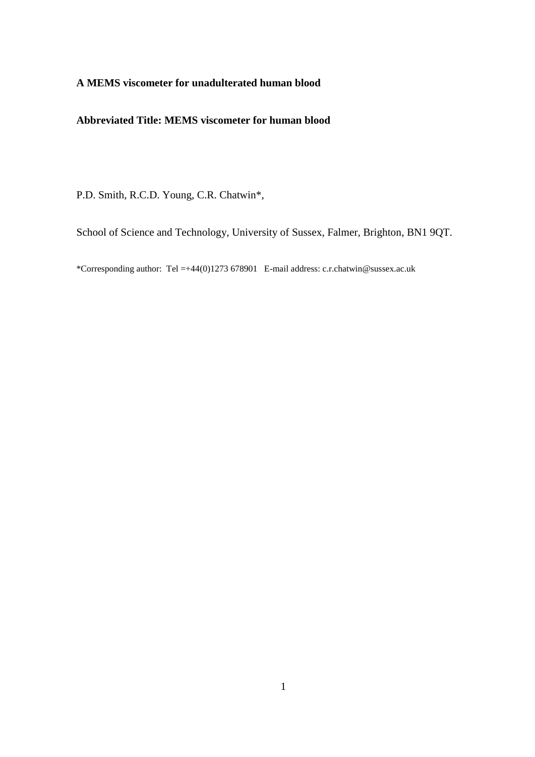#### **A MEMS viscometer for unadulterated human blood**

#### **Abbreviated Title: MEMS viscometer for human blood**

P.D. Smith, R.C.D. Young, C.R. Chatwin\*,

School of Science and Technology, University of Sussex, Falmer, Brighton, BN1 9QT.

\*Corresponding author: Tel =+44(0)1273 678901 E-mail address: c.r.chatwin@sussex.ac.uk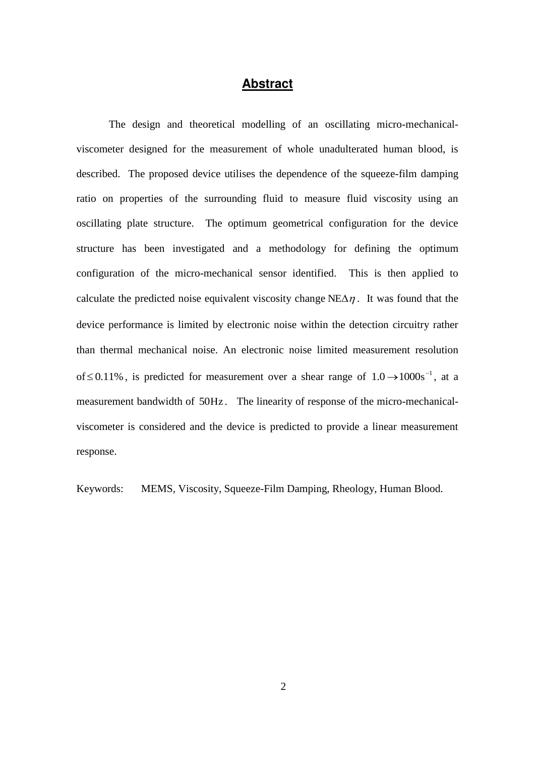#### **Abstract**

The design and theoretical modelling of an oscillating micro-mechanicalviscometer designed for the measurement of whole unadulterated human blood, is described. The proposed device utilises the dependence of the squeeze-film damping ratio on properties of the surrounding fluid to measure fluid viscosity using an oscillating plate structure. The optimum geometrical configuration for the device structure has been investigated and a methodology for defining the optimum configuration of the micro-mechanical sensor identified. This is then applied to calculate the predicted noise equivalent viscosity change  $NE\Delta\eta$ . It was found that the device performance is limited by electronic noise within the detection circuitry rather than thermal mechanical noise. An electronic noise limited measurement resolution of  $\leq$  0.11%, is predicted for measurement over a shear range of 1.0  $\rightarrow$  1000s<sup>-1</sup>, at a measurement bandwidth of 50Hz . The linearity of response of the micro-mechanicalviscometer is considered and the device is predicted to provide a linear measurement response.

Keywords: MEMS, Viscosity, Squeeze-Film Damping, Rheology, Human Blood.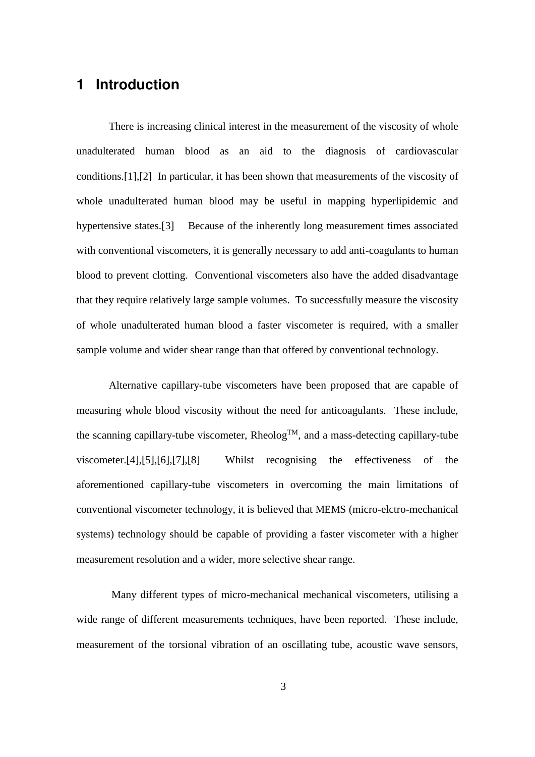## **1 Introduction**

There is increasing clinical interest in the measurement of the viscosity of whole unadulterated human blood as an aid to the diagnosis of cardiovascular conditions.[1],[2] In particular, it has been shown that measurements of the viscosity of whole unadulterated human blood may be useful in mapping hyperlipidemic and hypertensive states.[3] Because of the inherently long measurement times associated with conventional viscometers, it is generally necessary to add anti-coagulants to human blood to prevent clotting. Conventional viscometers also have the added disadvantage that they require relatively large sample volumes. To successfully measure the viscosity of whole unadulterated human blood a faster viscometer is required, with a smaller sample volume and wider shear range than that offered by conventional technology.

Alternative capillary-tube viscometers have been proposed that are capable of measuring whole blood viscosity without the need for anticoagulants. These include, the scanning capillary-tube viscometer,  $Rheolog^{TM}$ , and a mass-detecting capillary-tube viscometer.[4],[5],[6],[7],[8] Whilst recognising the effectiveness of the aforementioned capillary-tube viscometers in overcoming the main limitations of conventional viscometer technology, it is believed that MEMS (micro-elctro-mechanical systems) technology should be capable of providing a faster viscometer with a higher measurement resolution and a wider, more selective shear range.

 Many different types of micro-mechanical mechanical viscometers, utilising a wide range of different measurements techniques, have been reported. These include, measurement of the torsional vibration of an oscillating tube, acoustic wave sensors,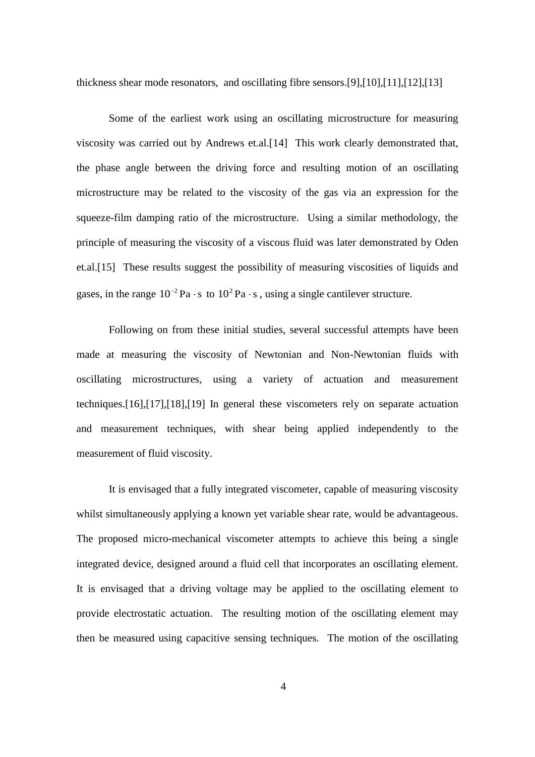thickness shear mode resonators, and oscillating fibre sensors.[9],[10],[11],[12],[13]

Some of the earliest work using an oscillating microstructure for measuring viscosity was carried out by Andrews et.al.[14] This work clearly demonstrated that, the phase angle between the driving force and resulting motion of an oscillating microstructure may be related to the viscosity of the gas via an expression for the squeeze-film damping ratio of the microstructure. Using a similar methodology, the principle of measuring the viscosity of a viscous fluid was later demonstrated by Oden et.al.[15] These results suggest the possibility of measuring viscosities of liquids and gases, in the range  $10^{-2}$  Pa  $\cdot$  s to  $10^{2}$  Pa  $\cdot$  s, using a single cantilever structure.

Following on from these initial studies, several successful attempts have been made at measuring the viscosity of Newtonian and Non-Newtonian fluids with oscillating microstructures, using a variety of actuation and measurement techniques.[16],[17],[18],[19] In general these viscometers rely on separate actuation and measurement techniques, with shear being applied independently to the measurement of fluid viscosity.

It is envisaged that a fully integrated viscometer, capable of measuring viscosity whilst simultaneously applying a known yet variable shear rate, would be advantageous. The proposed micro-mechanical viscometer attempts to achieve this being a single integrated device, designed around a fluid cell that incorporates an oscillating element. It is envisaged that a driving voltage may be applied to the oscillating element to provide electrostatic actuation. The resulting motion of the oscillating element may then be measured using capacitive sensing techniques. The motion of the oscillating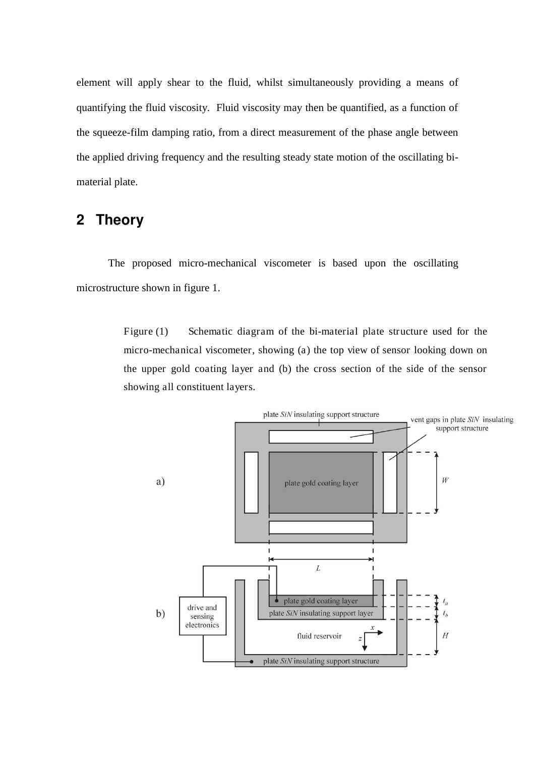element will apply shear to the fluid, whilst simultaneously providing a means of quantifying the fluid viscosity. Fluid viscosity may then be quantified, as a function of the squeeze-film damping ratio, from a direct measurement of the phase angle between the applied driving frequency and the resulting steady state motion of the oscillating bimaterial plate.

## **2 Theory**

The proposed micro-mechanical viscometer is based upon the oscillating microstructure shown in figure 1.

> Figure (1) Schematic diagram of the bi-material plate structure used for the micro-mechanical viscometer, showing (a) the top view of sensor looking down on the upper gold coating layer and (b) the cross section of the side of the sensor showing all constituent layers.

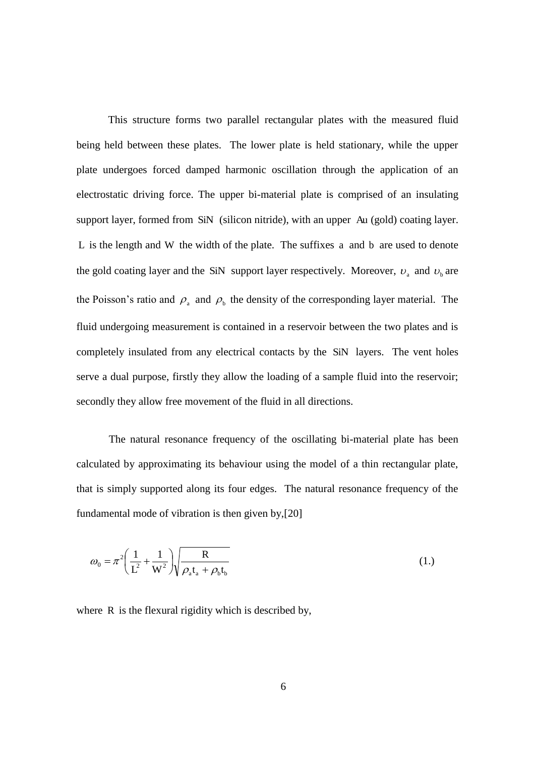This structure forms two parallel rectangular plates with the measured fluid being held between these plates. The lower plate is held stationary, while the upper plate undergoes forced damped harmonic oscillation through the application of an electrostatic driving force. The upper bi-material plate is comprised of an insulating support layer, formed from SiN (silicon nitride), with an upper Au (gold) coating layer. L is the length and W the width of the plate. The suffixes a and b are used to denote the gold coating layer and the SiN support layer respectively. Moreover,  $v_a$  and  $v_b$  are the Poisson's ratio and  $\rho_a$  and  $\rho_b$  the density of the corresponding layer material. The fluid undergoing measurement is contained in a reservoir between the two plates and is completely insulated from any electrical contacts by the SiN layers. The vent holes serve a dual purpose, firstly they allow the loading of a sample fluid into the reservoir; secondly they allow free movement of the fluid in all directions.

The natural resonance frequency of the oscillating bi-material plate has been calculated by approximating its behaviour using the model of a thin rectangular plate, that is simply supported along its four edges. The natural resonance frequency of the fundamental mode of vibration is then given by,[20]

$$
\omega_0 = \pi^2 \left( \frac{1}{L^2} + \frac{1}{W^2} \right) \sqrt{\frac{R}{\rho_a t_a + \rho_b t_b}}
$$
(1.)

where R is the flexural rigidity which is described by,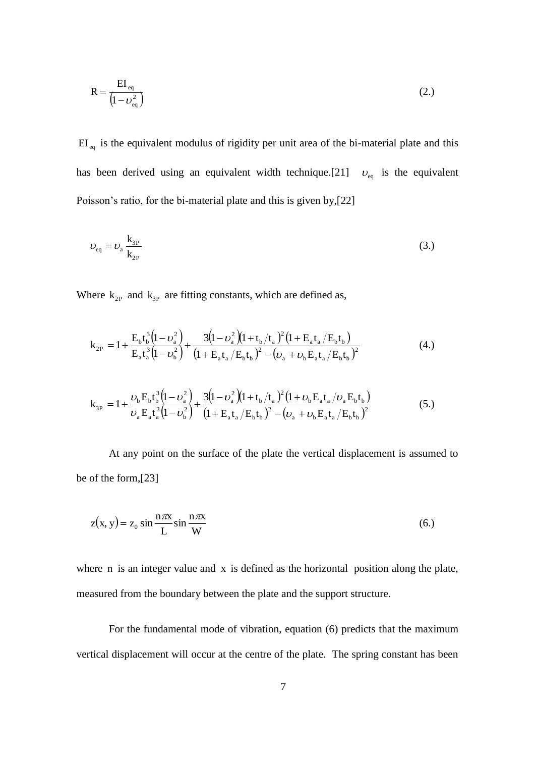$$
R = \frac{EI_{eq}}{\left(1 - \nu_{eq}^2\right)}\tag{2.}
$$

 $EI_{eq}$  is the equivalent modulus of rigidity per unit area of the bi-material plate and this has been derived using an equivalent width technique.[21]  $v_{eq}$  is the equivalent Poisson's ratio, for the bi-material plate and this is given by,[22]

$$
v_{\rm eq} = v_{\rm a} \frac{\mathbf{k}_{3P}}{\mathbf{k}_{2P}}
$$
 (3.)

Where  $k_{2P}$  and  $k_{3P}$  are fitting constants, which are defined as,

$$
k_{2P} = 1 + \frac{E_b t_b^3 (1 - \nu_a^2)}{E_a t_a^3 (1 - \nu_b^2)} + \frac{3 (1 - \nu_a^2) (1 + t_b / t_a)^2 (1 + E_a t_a / E_b t_b)}{(1 + E_a t_a / E_b t_b)^2 - (\nu_a + \nu_b E_a t_a / E_b t_b)^2}
$$
(4.)

$$
k_{3P} = 1 + \frac{\nu_b E_b t_b^3 (1 - \nu_a^2)}{\nu_a E_a t_a^3 (1 - \nu_b^2)} + \frac{3 (1 - \nu_a^2)(1 + t_b / t_a)^2 (1 + \nu_b E_a t_a / \nu_a E_b t_b)}{(1 + E_a t_a / E_b t_b)^2 - (\nu_a + \nu_b E_a t_a / E_b t_b)^2}
$$
(5.)

At any point on the surface of the plate the vertical displacement is assumed to be of the form,[23]

$$
z(x, y) = z_0 \sin \frac{n\pi x}{L} \sin \frac{n\pi x}{W}
$$
 (6.)

where n is an integer value and x is defined as the horizontal position along the plate, measured from the boundary between the plate and the support structure.

For the fundamental mode of vibration, equation (6) predicts that the maximum vertical displacement will occur at the centre of the plate. The spring constant has been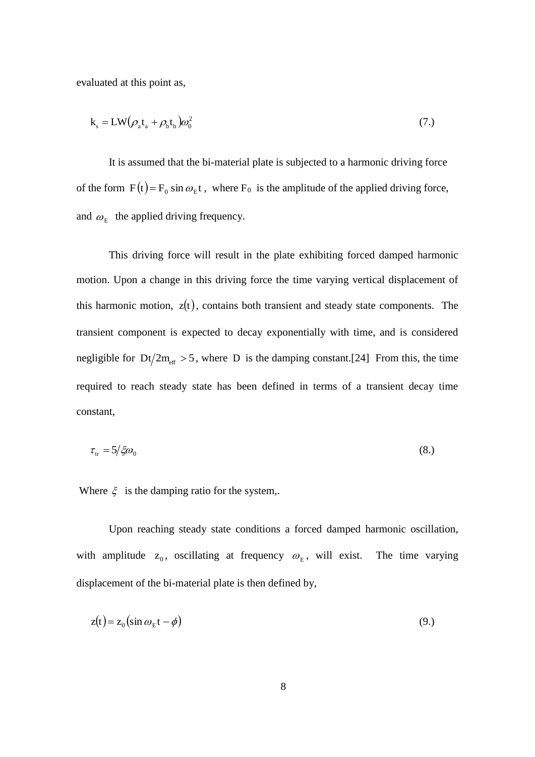evaluated at this point as,

$$
k_s = LW(\rho_a t_a + \rho_b t_b)\omega_0^2
$$
\n(7.)

It is assumed that the bi-material plate is subjected to a harmonic driving force of the form  $F(t) = F_0 \sin \omega_E t$ , where  $F_0$  is the amplitude of the applied driving force, and  $\omega_{\rm E}$  the applied driving frequency.

This driving force will result in the plate exhibiting forced damped harmonic motion. Upon a change in this driving force the time varying vertical displacement of this harmonic motion,  $z(t)$ , contains both transient and steady state components. The transient component is expected to decay exponentially with time, and is considered negligible for  $Dt/2m_{\text{eff}} > 5$ , where D is the damping constant.[24] From this, the time required to reach steady state has been defined in terms of a transient decay time constant,

$$
\tau_{tr} = 5/\xi \omega_0 \tag{8.}
$$

Where  $\xi$  is the damping ratio for the system,.

Upon reaching steady state conditions a forced damped harmonic oscillation, with amplitude  $z_0$ , oscillating at frequency  $\omega_E$ , will exist. The time varying displacement of the bi-material plate is then defined by,

$$
z(t) = z_0 (\sin \omega_E t - \phi)
$$
\n(9.)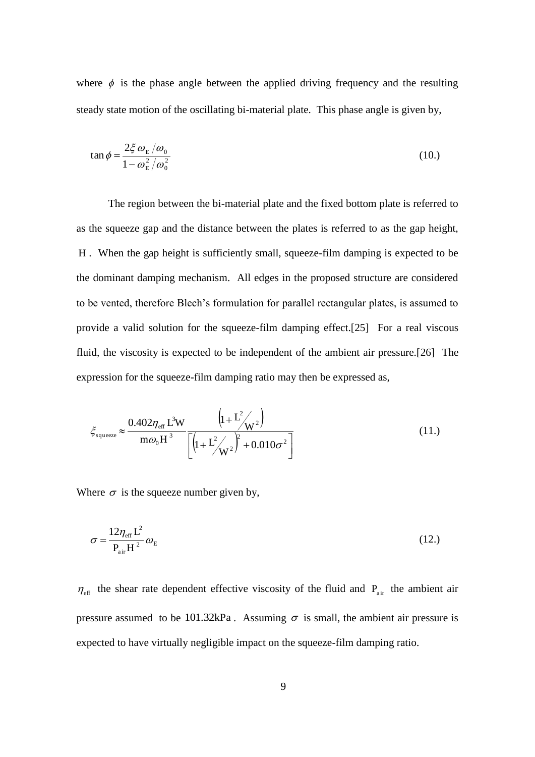where  $\phi$  is the phase angle between the applied driving frequency and the resulting steady state motion of the oscillating bi-material plate. This phase angle is given by,

$$
\tan \phi = \frac{2\xi \omega_{\rm E}/\omega_0}{1 - \omega_{\rm E}^2/\omega_0^2}
$$
 (10.)

The region between the bi-material plate and the fixed bottom plate is referred to as the squeeze gap and the distance between the plates is referred to as the gap height, H . When the gap height is sufficiently small, squeeze-film damping is expected to be the dominant damping mechanism. All edges in the proposed structure are considered to be vented, therefore Blech's formulation for parallel rectangular plates, is assumed to provide a valid solution for the squeeze-film damping effect.[25] For a real viscous fluid, the viscosity is expected to be independent of the ambient air pressure.[26] The expression for the squeeze-film damping ratio may then be expressed as,

$$
\xi_{\text{square}} \approx \frac{0.402 \eta_{\text{eff}} L^3 W}{m \omega_0 H^3} \frac{\left(1 + L^2 / W^2\right)}{\left[\left(1 + L^2 / W^2\right)^2 + 0.010 \sigma^2\right]}
$$
(11.)

Where  $\sigma$  is the squeeze number given by,

$$
\sigma = \frac{12\eta_{\text{eff}}L^2}{P_{\text{air}}H^2}\omega_{\text{E}}
$$
 (12.)

 $\eta_{\text{eff}}$  the shear rate dependent effective viscosity of the fluid and  $P_{\text{air}}$  the ambient air pressure assumed to be 101.32kPa. Assuming  $\sigma$  is small, the ambient air pressure is expected to have virtually negligible impact on the squeeze-film damping ratio.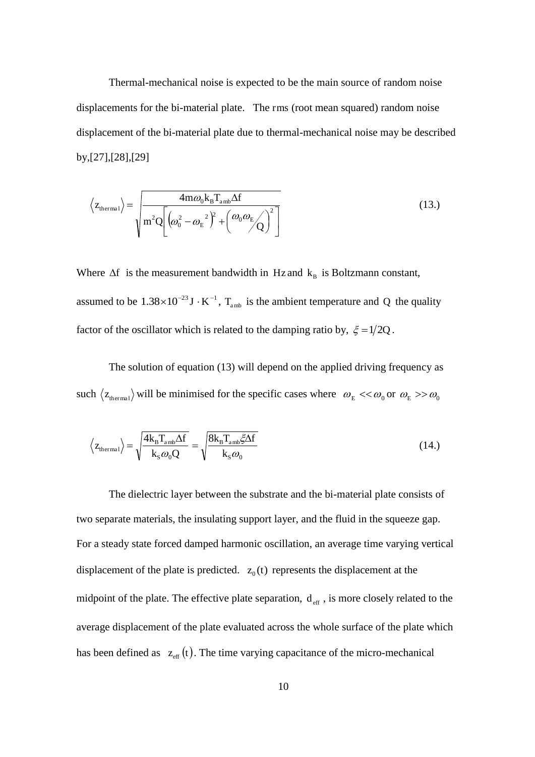Thermal-mechanical noise is expected to be the main source of random noise displacements for the bi-material plate. The rms (root mean squared) random noise displacement of the bi-material plate due to thermal-mechanical noise may be described by,[27],[28],[29]

$$
\langle z_{\text{thermal}} \rangle = \sqrt{\frac{4m\omega_0 k_B T_{\text{amb}} \Delta f}{m^2 Q \left[ \left( \omega_0^2 - {\omega_E}^2 \right)^2 + \left( \omega_0 \omega_E \sqrt{\right)^2 \right]}}
$$
(13.)

Where  $\Delta f$  is the measurement bandwidth in Hz and  $k_B$  is Boltzmann constant, assumed to be  $1.38 \times 10^{-23}$  J  $\cdot$  K<sup>-1</sup>, T<sub>amb</sub> is the ambient temperature and Q the quality factor of the oscillator which is related to the damping ratio by,  $\xi = 1/2Q$ .

The solution of equation (13) will depend on the applied driving frequency as such  $\langle z_{\text{thermal}} \rangle$  will be minimised for the specific cases where  $\omega_{\text{E}} \ll \omega_0$  or  $\omega_{\text{E}} >> \omega_0$ 

$$
\langle z_{\text{thermal}} \rangle = \sqrt{\frac{4k_{\text{B}}T_{\text{amb}}\Delta f}{k_{\text{s}}\omega_0 Q}} = \sqrt{\frac{8k_{\text{B}}T_{\text{amb}}\zeta\Delta f}{k_{\text{s}}\omega_0}}
$$
(14.)

The dielectric layer between the substrate and the bi-material plate consists of two separate materials, the insulating support layer, and the fluid in the squeeze gap. For a steady state forced damped harmonic oscillation, an average time varying vertical displacement of the plate is predicted.  $z_0(t)$  represents the displacement at the midpoint of the plate. The effective plate separation,  $d_{\text{eff}}$ , is more closely related to the average displacement of the plate evaluated across the whole surface of the plate which has been defined as  $z_{\text{eff}}(t)$ . The time varying capacitance of the micro-mechanical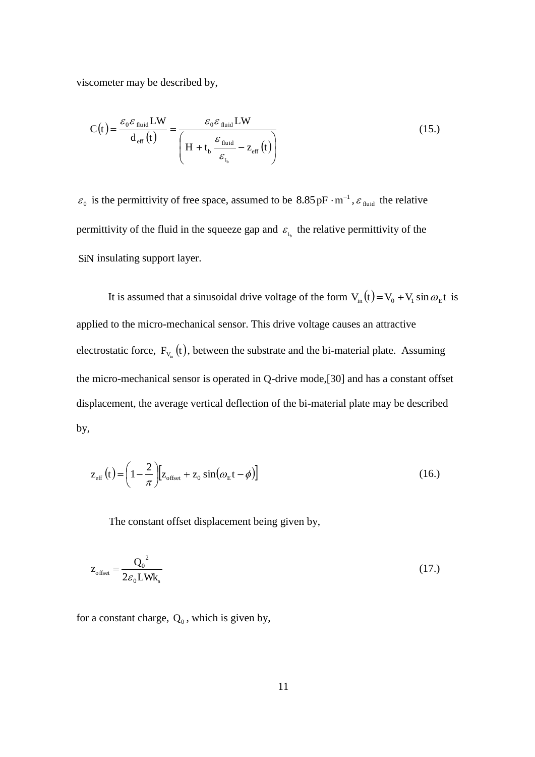viscometer may be described by,

$$
C(t) = \frac{\varepsilon_0 \varepsilon_{\text{fluid}} LW}{d_{\text{eff}}(t)} = \frac{\varepsilon_0 \varepsilon_{\text{fluid}} LW}{\left(H + t_b \frac{\varepsilon_{\text{fluid}}}{\varepsilon_{t_b}} - z_{\text{eff}}(t)\right)}
$$
(15.)

 $\varepsilon_0$  is the permittivity of free space, assumed to be  $8.85 \,\mathrm{pF \cdot m}^{-1}$ ,  $\varepsilon_{\text{fluid}}$  the relative permittivity of the fluid in the squeeze gap and  $\varepsilon_{t_b}$  the relative permittivity of the SiN insulating support layer.

It is assumed that a sinusoidal drive voltage of the form  $V_{in}(t) = V_0 + V_1 \sin \omega_E t$  is applied to the micro-mechanical sensor. This drive voltage causes an attractive electrostatic force,  $F_{v_{in}}(t)$ , between the substrate and the bi-material plate. Assuming the micro-mechanical sensor is operated in Q-drive mode,[30] and has a constant offset displacement, the average vertical deflection of the bi-material plate may be described by,

$$
z_{\rm eff}(t) = \left(1 - \frac{2}{\pi}\right) \left[ z_{\rm offset} + z_0 \sin(\omega_{\rm E} t - \phi) \right]
$$
 (16.)

The constant offset displacement being given by,

$$
z_{\text{offset}} = \frac{Q_0^2}{2\varepsilon_0 L W k_s}
$$
 (17.)

for a constant charge,  $Q_0$ , which is given by,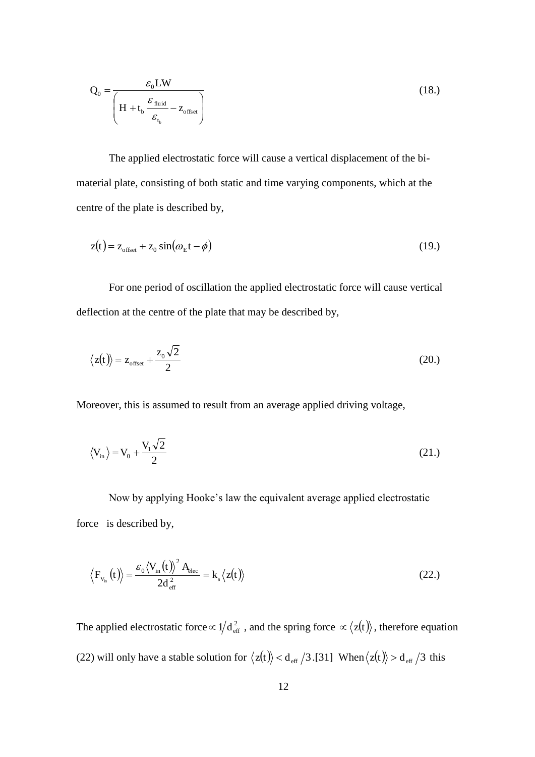$$
Q_0 = \frac{\varepsilon_0 LW}{\left(H + t_b \frac{\varepsilon_{\text{fluid}}}{\varepsilon_{t_b}} - z_{\text{offset}}\right)}
$$
(18.)

The applied electrostatic force will cause a vertical displacement of the bimaterial plate, consisting of both static and time varying components, which at the centre of the plate is described by,

$$
z(t) = z_{\text{offset}} + z_0 \sin(\omega_{\text{E}}t - \phi) \tag{19.}
$$

For one period of oscillation the applied electrostatic force will cause vertical deflection at the centre of the plate that may be described by,

$$
\langle z(t) \rangle = z_{\text{offset}} + \frac{z_0 \sqrt{2}}{2} \tag{20.}
$$

Moreover, this is assumed to result from an average applied driving voltage,

$$
\langle V_{\rm in} \rangle = V_0 + \frac{V_1 \sqrt{2}}{2} \tag{21.}
$$

Now by applying Hooke's law the equivalent average applied electrostatic force is described by,

$$
\left\langle F_{v_{in}}(t)\right\rangle =\frac{\varepsilon_{0}\left\langle V_{in}(t)\right\rangle ^{2}A_{elec}}{2d_{\text{eff}}^{2}}=k_{s}\left\langle z(t)\right\rangle \tag{22.}
$$

The applied electrostatic force  $\propto 1/d_{\text{eff}}^2$ , and the spring force  $\propto \langle z(t) \rangle$ , therefore equation (22) will only have a stable solution for  $\langle z(t) \rangle < d_{\text{eff}} / 3$ .[31] When  $\langle z(t) \rangle > d_{\text{eff}} / 3$  this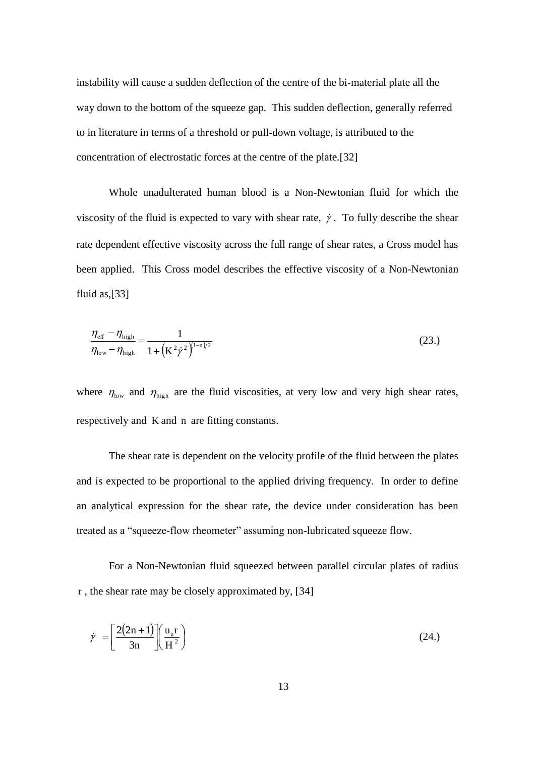instability will cause a sudden deflection of the centre of the bi-material plate all the way down to the bottom of the squeeze gap. This sudden deflection, generally referred to in literature in terms of a threshold or pull-down voltage, is attributed to the concentration of electrostatic forces at the centre of the plate.[32]

Whole unadulterated human blood is a Non-Newtonian fluid for which the viscosity of the fluid is expected to vary with shear rate,  $\dot{\gamma}$ . To fully describe the shear rate dependent effective viscosity across the full range of shear rates, a Cross model has been applied. This Cross model describes the effective viscosity of a Non-Newtonian fluid as,[33]

$$
\frac{\eta_{\text{eff}} - \eta_{\text{high}}}{\eta_{\text{low}} - \eta_{\text{high}}} = \frac{1}{1 + \left(K^2 \dot{\gamma}^2\right)^{(1-n)/2}}\tag{23.}
$$

where  $\eta_{\text{low}}$  and  $\eta_{\text{high}}$  are the fluid viscosities, at very low and very high shear rates, respectively and K and n are fitting constants.

The shear rate is dependent on the velocity profile of the fluid between the plates and is expected to be proportional to the applied driving frequency. In order to define an analytical expression for the shear rate, the device under consideration has been treated as a "squeeze-flow rheometer" assuming non-lubricated squeeze flow.

For a Non-Newtonian fluid squeezed between parallel circular plates of radius r , the shear rate may be closely approximated by, [34]

$$
\dot{\gamma} = \left[\frac{2(2n+1)}{3n}\right] \left(\frac{u_z r}{H^2}\right) \tag{24.}
$$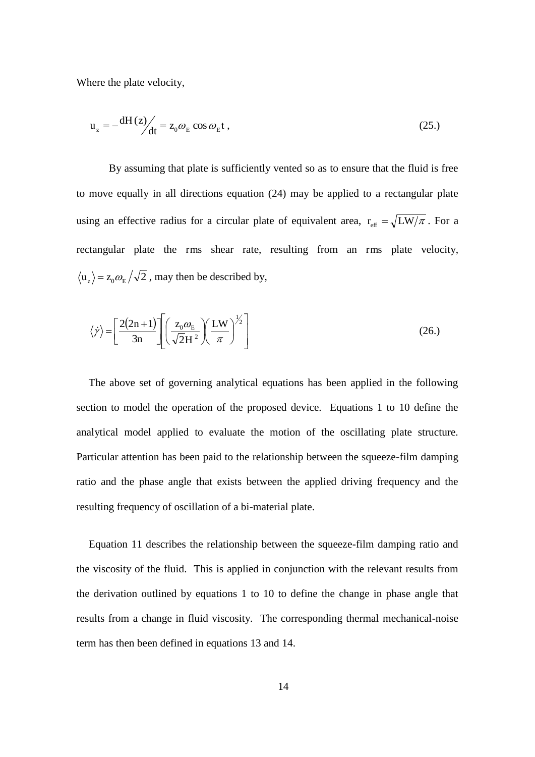Where the plate velocity,

$$
u_z = -\frac{dH(z)}{dt} = z_0 \omega_E \cos \omega_E t \,, \tag{25.}
$$

By assuming that plate is sufficiently vented so as to ensure that the fluid is free to move equally in all directions equation (24) may be applied to a rectangular plate using an effective radius for a circular plate of equivalent area,  $r_{\text{eff}} = \sqrt{L W/\pi}$ . For a rectangular plate the rms shear rate, resulting from an rms plate velocity,  $u_z$  =  $z_0 \omega_E / \sqrt{2}$ , may then be described by,

$$
\langle \dot{\gamma} \rangle = \left[ \frac{2(2n+1)}{3n} \right] \left[ \left( \frac{z_0 \omega_E}{\sqrt{2} H^2} \right) \left( \frac{L W}{\pi} \right)^{1/2} \right]
$$
(26.)

The above set of governing analytical equations has been applied in the following section to model the operation of the proposed device. Equations 1 to 10 define the analytical model applied to evaluate the motion of the oscillating plate structure. Particular attention has been paid to the relationship between the squeeze-film damping ratio and the phase angle that exists between the applied driving frequency and the resulting frequency of oscillation of a bi-material plate.

Equation 11 describes the relationship between the squeeze-film damping ratio and the viscosity of the fluid. This is applied in conjunction with the relevant results from the derivation outlined by equations 1 to 10 to define the change in phase angle that results from a change in fluid viscosity. The corresponding thermal mechanical-noise term has then been defined in equations 13 and 14.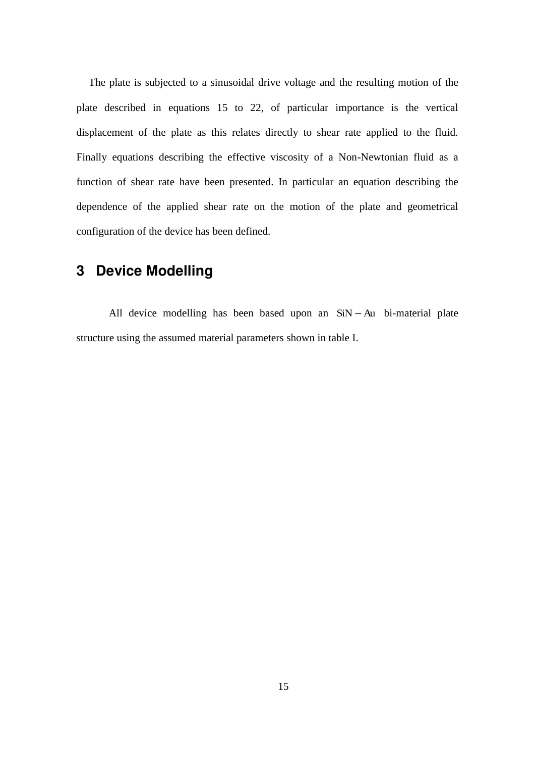The plate is subjected to a sinusoidal drive voltage and the resulting motion of the plate described in equations 15 to 22, of particular importance is the vertical displacement of the plate as this relates directly to shear rate applied to the fluid. Finally equations describing the effective viscosity of a Non-Newtonian fluid as a function of shear rate have been presented. In particular an equation describing the dependence of the applied shear rate on the motion of the plate and geometrical configuration of the device has been defined.

## **3 Device Modelling**

All device modelling has been based upon an  $SiN - Au$  bi-material plate structure using the assumed material parameters shown in table I.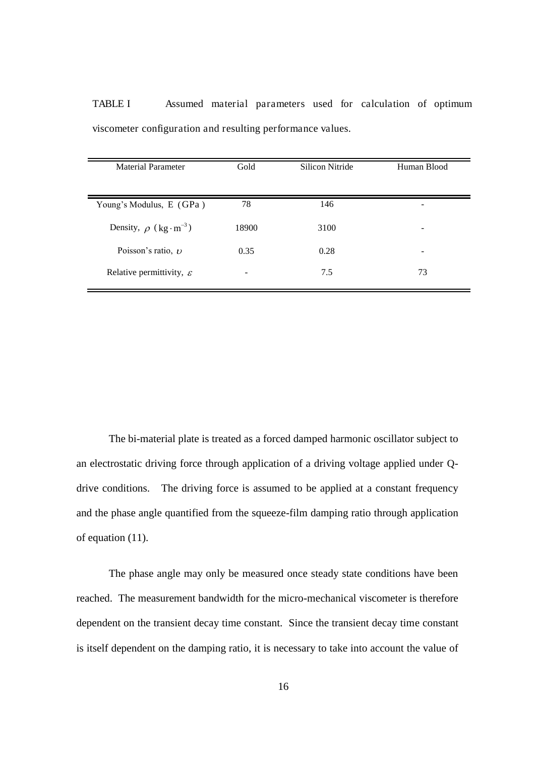| Material Parameter                    | Gold  | Silicon Nitride | Human Blood |
|---------------------------------------|-------|-----------------|-------------|
| Young's Modulus, E (GPa)              | 78    | 146             |             |
| Density, $\rho$ (kg·m <sup>-3</sup> ) | 18900 | 3100            | -           |
| Poisson's ratio, $\nu$                | 0.35  | 0.28            | -           |
| Relative permittivity, $\varepsilon$  |       | 7.5             | 73          |

TABLE I Assumed material parameters used for calculation of optimum viscometer configuration and resulting performance values.

The bi-material plate is treated as a forced damped harmonic oscillator subject to an electrostatic driving force through application of a driving voltage applied under Qdrive conditions. The driving force is assumed to be applied at a constant frequency and the phase angle quantified from the squeeze-film damping ratio through application of equation (11).

The phase angle may only be measured once steady state conditions have been reached. The measurement bandwidth for the micro-mechanical viscometer is therefore dependent on the transient decay time constant. Since the transient decay time constant is itself dependent on the damping ratio, it is necessary to take into account the value of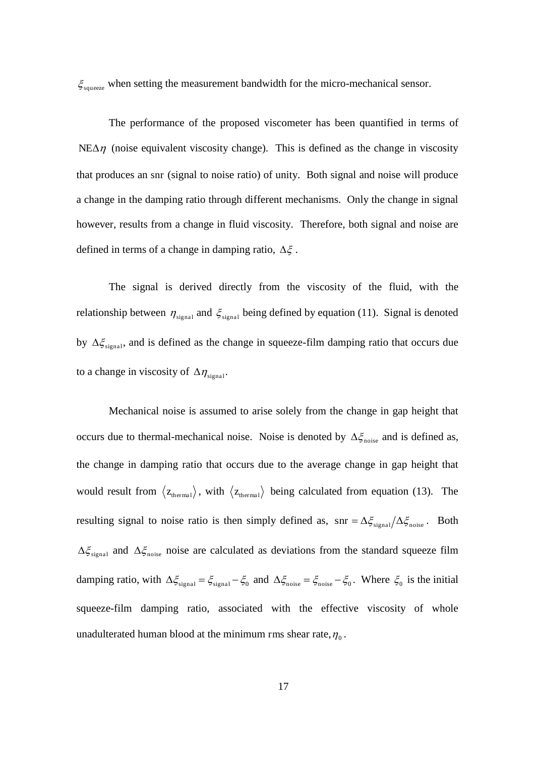$\zeta_{\text{source}}$  when setting the measurement bandwidth for the micro-mechanical sensor.

The performance of the proposed viscometer has been quantified in terms of  $NEA\eta$  (noise equivalent viscosity change). This is defined as the change in viscosity that produces an snr (signal to noise ratio) of unity. Both signal and noise will produce a change in the damping ratio through different mechanisms. Only the change in signal however, results from a change in fluid viscosity. Therefore, both signal and noise are defined in terms of a change in damping ratio,  $\Delta \xi$ .

The signal is derived directly from the viscosity of the fluid, with the relationship between  $\eta_{\text{signal}}$  and  $\xi_{\text{signal}}$  being defined by equation (11). Signal is denoted by  $\Delta \xi_{signal}$ , and is defined as the change in squeeze-film damping ratio that occurs due to a change in viscosity of  $\Delta \eta_{\text{signal}}$ .

Mechanical noise is assumed to arise solely from the change in gap height that occurs due to thermal-mechanical noise. Noise is denoted by  $\Delta \xi_{\text{noise}}$  and is defined as, the change in damping ratio that occurs due to the average change in gap height that would result from  $\langle z_{\text{thermal}} \rangle$ , with  $\langle z_{\text{thermal}} \rangle$  being calculated from equation (13). The resulting signal to noise ratio is then simply defined as,  $\text{snr} = \Delta \xi_{\text{signal}} / \Delta \xi_{\text{noise}}$ . Both  $\Delta \xi_{signal}$  and  $\Delta \xi_{noise}$  noise are calculated as deviations from the standard squeeze film damping ratio, with  $\Delta \xi_{\text{signal}} = \xi_{\text{signal}} - \xi_0$  and  $\Delta \xi_{\text{noise}} = \xi_{\text{noise}} - \xi_0$ . Where  $\xi_0$  is the initial squeeze-film damping ratio, associated with the effective viscosity of whole unadulterated human blood at the minimum rms shear rate,  $\eta_0$ .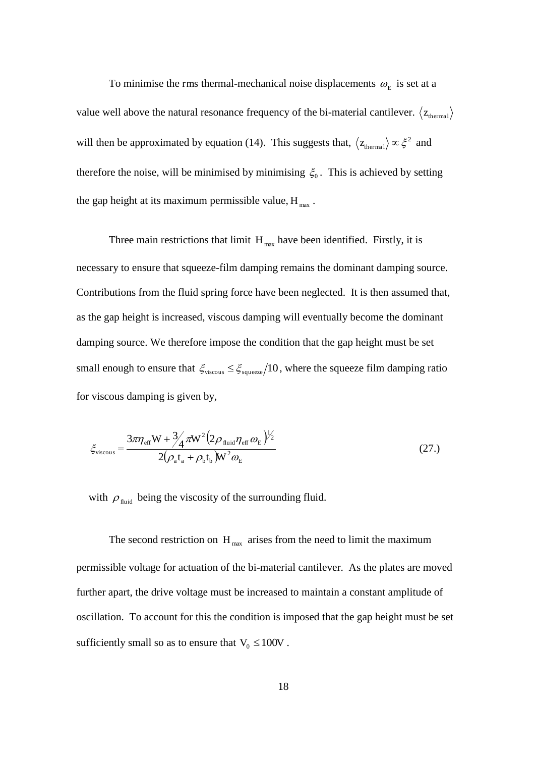To minimise the rms thermal-mechanical noise displacements  $\omega_{E}$  is set at a value well above the natural resonance frequency of the bi-material cantilever.  $\langle z_{\text{thermal}} \rangle$ will then be approximated by equation (14). This suggests that,  $\langle z_{\text{thermal}} \rangle \propto \xi^2$  and therefore the noise, will be minimised by minimising  $\xi_0$ . This is achieved by setting the gap height at its maximum permissible value,  $H_{\text{max}}$ .

Three main restrictions that limit  $H_{\text{max}}$  have been identified. Firstly, it is necessary to ensure that squeeze-film damping remains the dominant damping source. Contributions from the fluid spring force have been neglected. It is then assumed that, as the gap height is increased, viscous damping will eventually become the dominant damping source. We therefore impose the condition that the gap height must be set small enough to ensure that  $\zeta_{viscons} \leq \zeta_{source} / 10$ , where the squeeze film damping ratio for viscous damping is given by,

$$
\xi_{\text{viscous}} = \frac{3\pi\eta_{\text{eff}} W + \frac{3}{4}\pi W^2 (2\rho_{\text{fluid}}\eta_{\text{eff}}\omega_{\text{E}})^{1/2}}{2(\rho_{\text{a}}t_{\text{a}} + \rho_{\text{b}}t_{\text{b}})W^2\omega_{\text{E}}}
$$
(27.)

with  $\rho_{\text{fluid}}$  being the viscosity of the surrounding fluid.

The second restriction on  $H_{\text{max}}$  arises from the need to limit the maximum permissible voltage for actuation of the bi-material cantilever. As the plates are moved further apart, the drive voltage must be increased to maintain a constant amplitude of oscillation. To account for this the condition is imposed that the gap height must be set sufficiently small so as to ensure that  $V_0 \le 100V$ .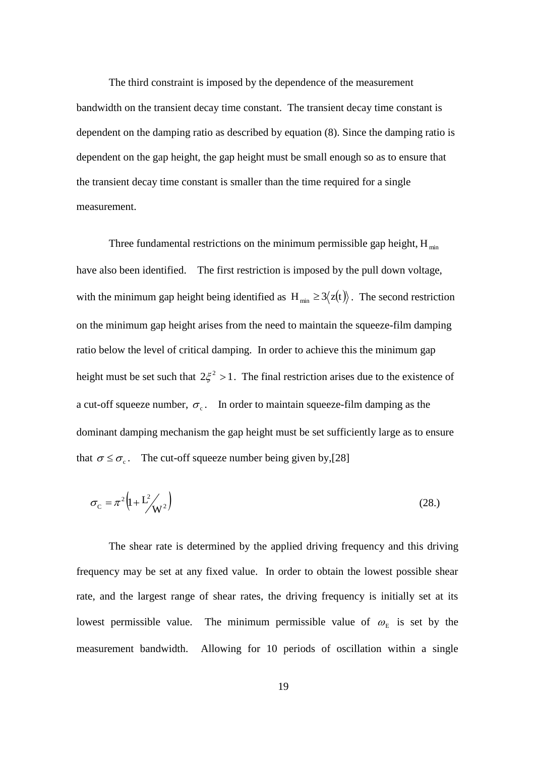The third constraint is imposed by the dependence of the measurement bandwidth on the transient decay time constant. The transient decay time constant is dependent on the damping ratio as described by equation (8). Since the damping ratio is dependent on the gap height, the gap height must be small enough so as to ensure that the transient decay time constant is smaller than the time required for a single measurement.

Three fundamental restrictions on the minimum permissible gap height,  $H_{min}$ have also been identified. The first restriction is imposed by the pull down voltage, with the minimum gap height being identified as  $H_{min} \ge 3 \langle z(t) \rangle$ . The second restriction on the minimum gap height arises from the need to maintain the squeeze-film damping ratio below the level of critical damping. In order to achieve this the minimum gap height must be set such that  $2\xi^2 > 1$ . The final restriction arises due to the existence of a cut-off squeeze number,  $\sigma_{c}$ . In order to maintain squeeze-film damping as the dominant damping mechanism the gap height must be set sufficiently large as to ensure that  $\sigma \le \sigma_c$ . The cut-off squeeze number being given by,[28]

$$
\sigma_{\rm c} = \pi^2 \left( 1 + L^2 / \sqrt{v^2} \right) \tag{28.}
$$

The shear rate is determined by the applied driving frequency and this driving frequency may be set at any fixed value. In order to obtain the lowest possible shear rate, and the largest range of shear rates, the driving frequency is initially set at its lowest permissible value. The minimum permissible value of  $\omega_{E}$  is set by the measurement bandwidth. Allowing for 10 periods of oscillation within a single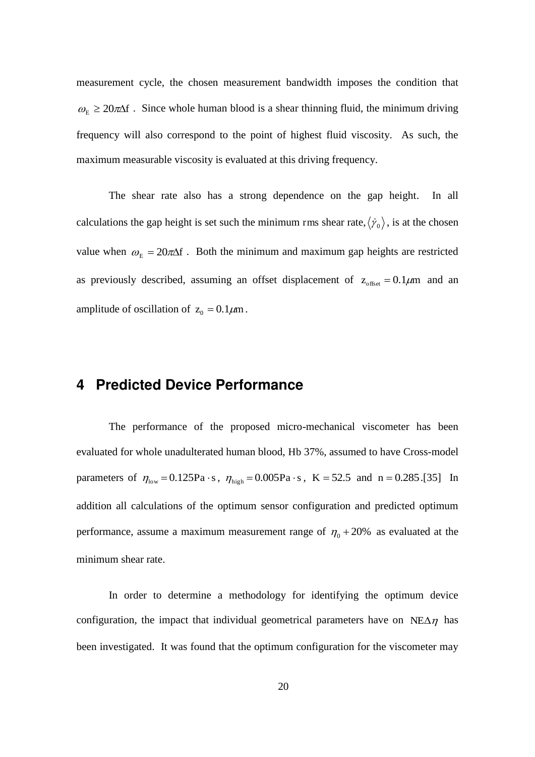measurement cycle, the chosen measurement bandwidth imposes the condition that  $\omega_{\rm E} \ge 20 \pi \Delta f$ . Since whole human blood is a shear thinning fluid, the minimum driving frequency will also correspond to the point of highest fluid viscosity. As such, the maximum measurable viscosity is evaluated at this driving frequency.

The shear rate also has a strong dependence on the gap height. In all calculations the gap height is set such the minimum rms shear rate,  $\langle \dot{\gamma}_0 \rangle$ , is at the chosen value when  $\omega_E = 20 \pi \Delta f$ . Both the minimum and maximum gap heights are restricted as previously described, assuming an offset displacement of  $z_{\text{offset}} = 0.1 \mu m$  and an amplitude of oscillation of  $z_0 = 0.1 \mu m$ .

## **4 Predicted Device Performance**

The performance of the proposed micro-mechanical viscometer has been evaluated for whole unadulterated human blood, Hb 37%, assumed to have Cross-model parameters of  $\eta_{\text{low}} = 0.125 \text{Pa} \cdot \text{s}$ ,  $\eta_{\text{high}} = 0.005 \text{Pa} \cdot \text{s}$ , K = 52.5 and n = 0.285.[35] In addition all calculations of the optimum sensor configuration and predicted optimum performance, assume a maximum measurement range of  $\eta_0 + 20\%$  as evaluated at the minimum shear rate.

In order to determine a methodology for identifying the optimum device configuration, the impact that individual geometrical parameters have on NE $\Delta \eta$  has been investigated. It was found that the optimum configuration for the viscometer may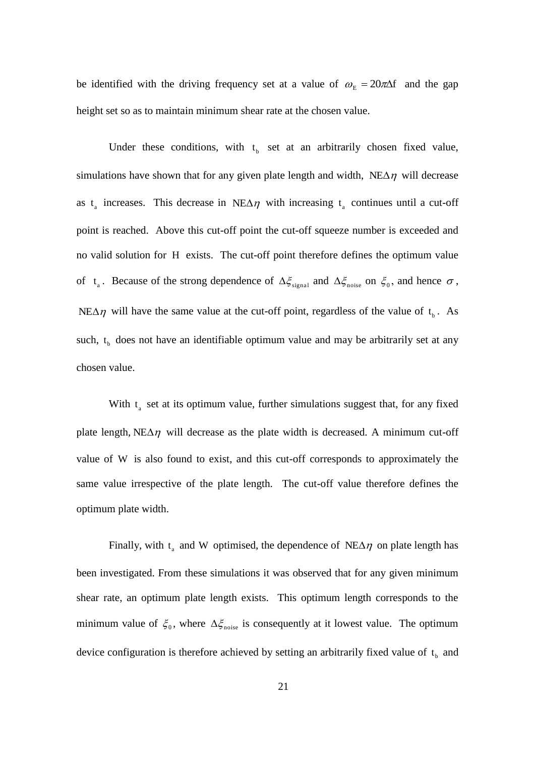be identified with the driving frequency set at a value of  $\omega_E = 20\pi\Delta f$  and the gap height set so as to maintain minimum shear rate at the chosen value.

Under these conditions, with  $t<sub>b</sub>$  set at an arbitrarily chosen fixed value, simulations have shown that for any given plate length and width,  $NE\Delta\eta$  will decrease as  $t_a$  increases. This decrease in NE $\Delta \eta$  with increasing  $t_a$  continues until a cut-off point is reached. Above this cut-off point the cut-off squeeze number is exceeded and no valid solution for H exists. The cut-off point therefore defines the optimum value of  $t_a$ . Because of the strong dependence of  $\Delta \xi_{signal}$  and  $\Delta \xi_{noise}$  on  $\xi_0$ , and hence  $\sigma$ , NE $\Delta \eta$  will have the same value at the cut-off point, regardless of the value of  $t_b$ . As such,  $t<sub>b</sub>$  does not have an identifiable optimum value and may be arbitrarily set at any chosen value.

With  $t_a$  set at its optimum value, further simulations suggest that, for any fixed plate length,  $NEA\eta$  will decrease as the plate width is decreased. A minimum cut-off value of W is also found to exist, and this cut-off corresponds to approximately the same value irrespective of the plate length. The cut-off value therefore defines the optimum plate width.

Finally, with  $t_a$  and W optimised, the dependence of NE $\Delta \eta$  on plate length has been investigated. From these simulations it was observed that for any given minimum shear rate, an optimum plate length exists. This optimum length corresponds to the minimum value of  $\xi_0$ , where  $\Delta \xi_{\text{noise}}$  is consequently at it lowest value. The optimum device configuration is therefore achieved by setting an arbitrarily fixed value of  $t<sub>b</sub>$  and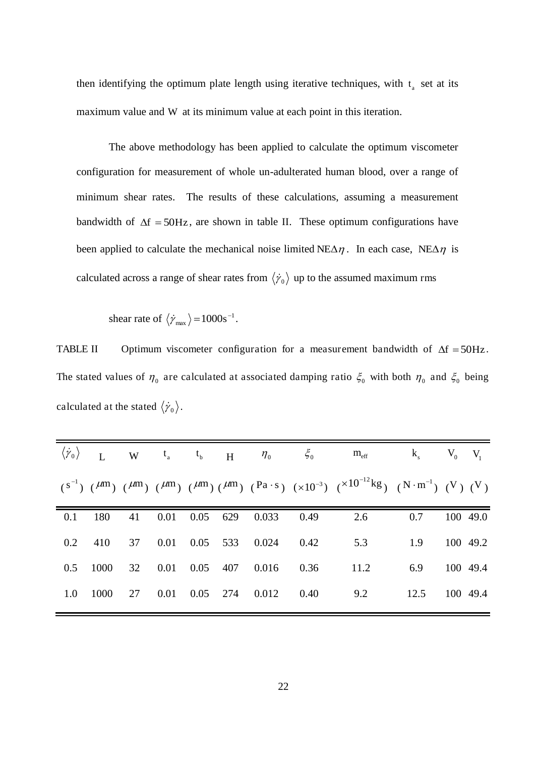then identifying the optimum plate length using iterative techniques, with  $t_a$  set at its maximum value and W at its minimum value at each point in this iteration.

The above methodology has been applied to calculate the optimum viscometer configuration for measurement of whole un-adulterated human blood, over a range of minimum shear rates. The results of these calculations, assuming a measurement bandwidth of  $\Delta f = 50$ Hz, are shown in table II. These optimum configurations have been applied to calculate the mechanical noise limited  $NEA\eta$ . In each case,  $NEA\eta$  is calculated across a range of shear rates from  $\langle \dot{\gamma}_0 \rangle$  up to the assumed maximum rms

shear rate of  $\langle \dot{\gamma}_{\text{max}} \rangle = 1000 \text{s}^{-1}$ .

TABLE II Optimum viscometer configuration for a measurement bandwidth of  $\Delta f = 50Hz$ . The stated values of  $\eta_0$  are calculated at associated damping ratio  $\xi_0$  with both  $\eta_0$  and  $\xi_0$  being calculated at the stated  $\langle \dot{\gamma}_0 \rangle$ .

|  |  |  |  | $\langle \dot{\gamma}_{\rm o} \rangle$ ${\rm L}$ ${\rm W}$ ${\rm t}_{\rm a}$ ${\rm t}_{\rm b}$ ${\rm H}$ $\eta_{\rm o}$ $\zeta_{\rm o}$ ${\rm m}_{\rm eff}$ ${\rm k}_{\rm s}$ ${\rm V}_{\rm o}$ ${\rm V}_{\rm l}$ |               |  |
|--|--|--|--|-------------------------------------------------------------------------------------------------------------------------------------------------------------------------------------------------------------------|---------------|--|
|  |  |  |  | $(s^{-1})$ $(\mu m)$ $(\mu m)$ $(\mu m)$ $(\mu m)$ $(\mu m)$ $(\mu m)$ $(\text{Pa} \cdot \text{s})$ $(x10^{-3})$ $(x10^{-12} \text{kg})$ $(N \cdot \text{m}^{-1})$ $(N)$ $(N)$                                    |               |  |
|  |  |  |  | 0.1 180 41 0.01 0.05 629 0.033 0.49 2.6 0.7 100 49.0                                                                                                                                                              |               |  |
|  |  |  |  | 0.2 410 37 0.01 0.05 533 0.024 0.42 5.3 1.9 100 49.2                                                                                                                                                              |               |  |
|  |  |  |  | 0.5 1000 32 0.01 0.05 407 0.016 0.36 11.2                                                                                                                                                                         | 6.9 100 49.4  |  |
|  |  |  |  | 1.0 1000 27 0.01 0.05 274 0.012 0.40 9.2                                                                                                                                                                          | 12.5 100 49.4 |  |
|  |  |  |  |                                                                                                                                                                                                                   |               |  |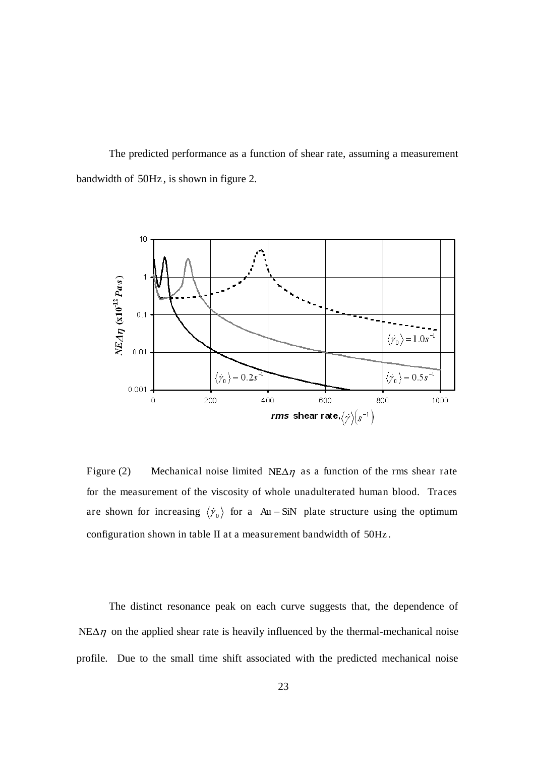The predicted performance as a function of shear rate, assuming a measurement bandwidth of 50Hz , is shown in figure 2.



Figure (2) Mechanical noise limited NE $\Delta \eta$  as a function of the rms shear rate for the measurement of the viscosity of whole unadulterated human blood. Traces are shown for increasing  $\langle \dot{\gamma}_0 \rangle$  for a Au - SiN plate structure using the optimum configuration shown in table II at a measurement bandwidth of 50Hz .

The distinct resonance peak on each curve suggests that, the dependence of  $NE \Delta \eta$  on the applied shear rate is heavily influenced by the thermal-mechanical noise profile. Due to the small time shift associated with the predicted mechanical noise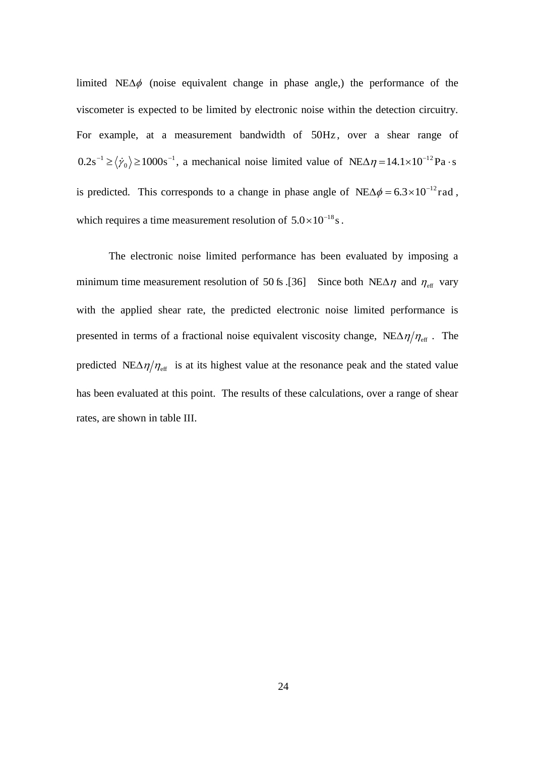limited NE $\Delta\phi$  (noise equivalent change in phase angle,) the performance of the viscometer is expected to be limited by electronic noise within the detection circuitry. For example, at a measurement bandwidth of 50Hz, over a shear range of 1  $\boldsymbol{0}$  $0.2s^{-1} \ge \langle \dot{\gamma}_0 \rangle \ge 1000s^{-1}$ , a mechanical noise limited value of NE $\Delta \eta = 14.1 \times 10^{-12}$ Pa·s is predicted. This corresponds to a change in phase angle of  $NEA\phi = 6.3 \times 10^{-12}$  rad, which requires a time measurement resolution of  $5.0 \times 10^{-18}$  s.

The electronic noise limited performance has been evaluated by imposing a minimum time measurement resolution of 50 fs .[36] Since both NE $\Delta \eta$  and  $\eta_{\text{eff}}$  vary with the applied shear rate, the predicted electronic noise limited performance is presented in terms of a fractional noise equivalent viscosity change,  $NEA\eta/\eta_{\text{eff}}$ . The predicted NE $\Delta \eta / \eta_{\text{eff}}$  is at its highest value at the resonance peak and the stated value has been evaluated at this point. The results of these calculations, over a range of shear rates, are shown in table III.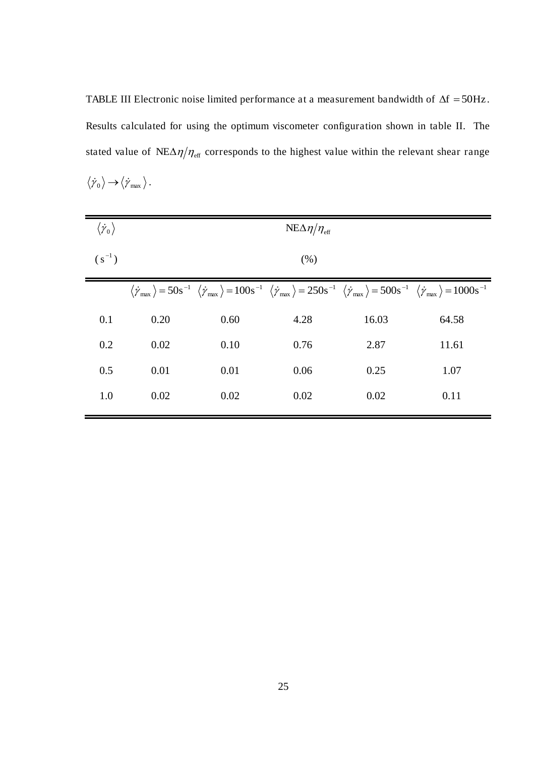TABLE III Electronic noise limited performance at a measurement bandwidth of  $\Delta f = 50$ Hz. Results calculated for using the optimum viscometer configuration shown in table II. The stated value of  $NEA\eta/\eta_{\rm eff}$  corresponds to the highest value within the relevant shear range  $\langle \dot{\gamma}_0 \rangle \rightarrow \langle \dot{\gamma}_{\text{max}} \rangle$ .

| $\langle \dot{\gamma}^{}_{0} \rangle$ |      |      | $NE\Delta\eta/\eta_{\text{eff}}$ |       |                                                                                                                                                                                                                                                                                                                                      |  |  |  |
|---------------------------------------|------|------|----------------------------------|-------|--------------------------------------------------------------------------------------------------------------------------------------------------------------------------------------------------------------------------------------------------------------------------------------------------------------------------------------|--|--|--|
| $(s^{-1})$                            | (% ) |      |                                  |       |                                                                                                                                                                                                                                                                                                                                      |  |  |  |
|                                       |      |      |                                  |       | $\langle \dot{\gamma}_{\text{max}} \rangle$ = 50s <sup>-1</sup> $\langle \dot{\gamma}_{\text{max}} \rangle$ = 100s <sup>-1</sup> $\langle \dot{\gamma}_{\text{max}} \rangle$ = 250s <sup>-1</sup> $\langle \dot{\gamma}_{\text{max}} \rangle$ = 500s <sup>-1</sup> $\langle \dot{\gamma}_{\text{max}} \rangle$ = 1000s <sup>-1</sup> |  |  |  |
| 0.1                                   | 0.20 | 0.60 | 4.28                             | 16.03 | 64.58                                                                                                                                                                                                                                                                                                                                |  |  |  |
| 0.2                                   | 0.02 | 0.10 | 0.76                             | 2.87  | 11.61                                                                                                                                                                                                                                                                                                                                |  |  |  |
| 0.5                                   | 0.01 | 0.01 | 0.06                             | 0.25  | 1.07                                                                                                                                                                                                                                                                                                                                 |  |  |  |
| 1.0                                   | 0.02 | 0.02 | 0.02                             | 0.02  | 0.11                                                                                                                                                                                                                                                                                                                                 |  |  |  |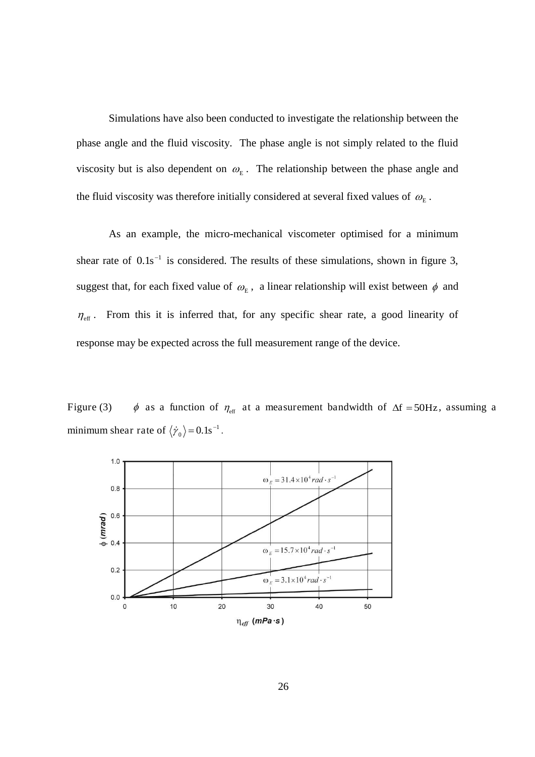Simulations have also been conducted to investigate the relationship between the phase angle and the fluid viscosity. The phase angle is not simply related to the fluid viscosity but is also dependent on  $\omega_{\rm E}$ . The relationship between the phase angle and the fluid viscosity was therefore initially considered at several fixed values of  $\omega_{\text{\tiny E}}$ .

As an example, the micro-mechanical viscometer optimised for a minimum shear rate of  $0.1s^{-1}$  is considered. The results of these simulations, shown in figure 3, suggest that, for each fixed value of  $\omega_{E}$ , a linear relationship will exist between  $\phi$  and  $\eta_{\text{eff}}$ . From this it is inferred that, for any specific shear rate, a good linearity of response may be expected across the full measurement range of the device.

Figure (3)  $\phi$  as a function of  $\eta_{\text{eff}}$  at a measurement bandwidth of  $\Delta f = 50Hz$ , assuming a minimum shear rate of  $\langle \dot{\gamma}_0 \rangle = 0.1 \text{s}^{-1}$ .

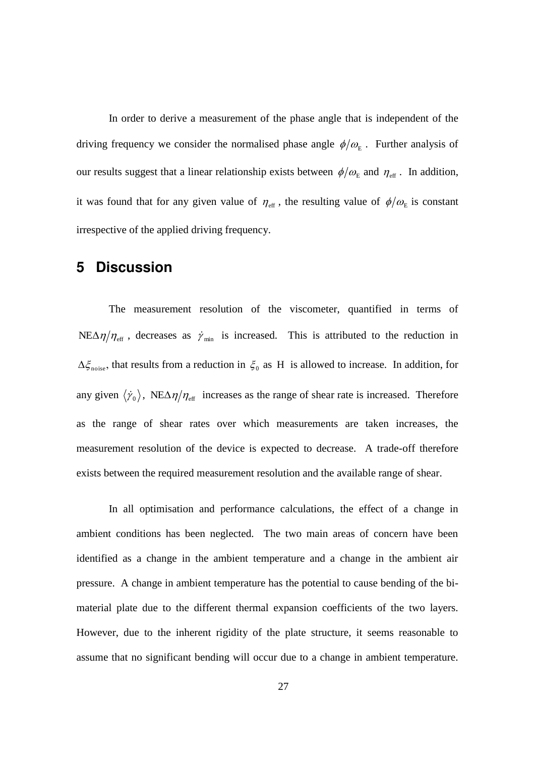In order to derive a measurement of the phase angle that is independent of the driving frequency we consider the normalised phase angle  $\phi/\omega_{E}$ . Further analysis of our results suggest that a linear relationship exists between  $\phi/\omega_{\rm E}$  and  $\eta_{\rm eff}$ . In addition, it was found that for any given value of  $\eta_{\text{eff}}$ , the resulting value of  $\phi/\omega_{E}$  is constant irrespective of the applied driving frequency.

## **5 Discussion**

The measurement resolution of the viscometer, quantified in terms of NE $\Delta \eta / \eta_{\text{eff}}$ , decreases as  $\dot{\gamma}_{\text{min}}$  is increased. This is attributed to the reduction in  $\Delta \xi_{\text{noise}}$ , that results from a reduction in  $\xi_0$  as H is allowed to increase. In addition, for any given  $\langle \dot{\gamma}_0 \rangle$ , NE $\Delta \eta / \eta_{\text{eff}}$  increases as the range of shear rate is increased. Therefore as the range of shear rates over which measurements are taken increases, the measurement resolution of the device is expected to decrease. A trade-off therefore exists between the required measurement resolution and the available range of shear.

In all optimisation and performance calculations, the effect of a change in ambient conditions has been neglected. The two main areas of concern have been identified as a change in the ambient temperature and a change in the ambient air pressure. A change in ambient temperature has the potential to cause bending of the bimaterial plate due to the different thermal expansion coefficients of the two layers. However, due to the inherent rigidity of the plate structure, it seems reasonable to assume that no significant bending will occur due to a change in ambient temperature.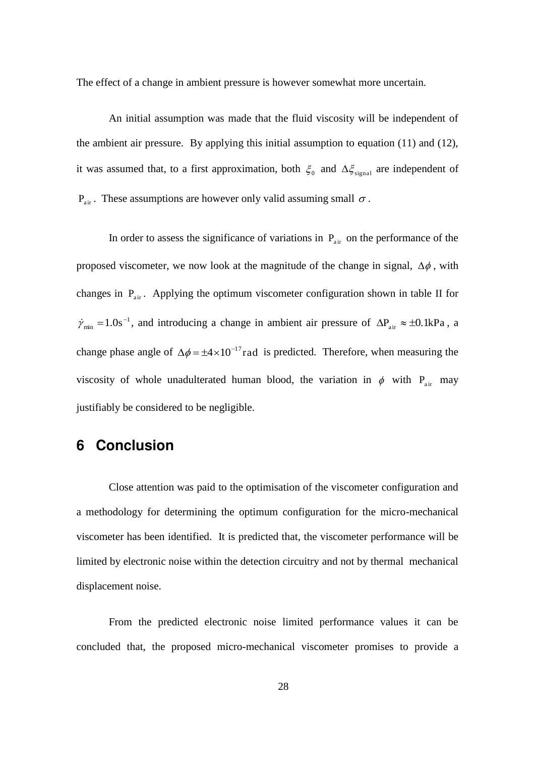The effect of a change in ambient pressure is however somewhat more uncertain.

An initial assumption was made that the fluid viscosity will be independent of the ambient air pressure. By applying this initial assumption to equation (11) and (12), it was assumed that, to a first approximation, both  $\xi_0$  and  $\Delta \xi_{\text{signal}}$  are independent of  $P_{air}$ . These assumptions are however only valid assuming small  $\sigma$ .

In order to assess the significance of variations in  $P_{air}$  on the performance of the proposed viscometer, we now look at the magnitude of the change in signal,  $\Delta\phi$ , with changes in  $P_{air}$ . Applying the optimum viscometer configuration shown in table II for  $\dot{\gamma}_{min} = 1.0$ s<sup>-1</sup>, and introducing a change in ambient air pressure of  $\Delta P_{air} \approx \pm 0.1$ kPa, a change phase angle of  $\Delta \phi = \pm 4 \times 10^{-17}$  rad is predicted. Therefore, when measuring the viscosity of whole unadulterated human blood, the variation in  $\phi$  with P<sub>air</sub> may justifiably be considered to be negligible.

#### **6 Conclusion**

Close attention was paid to the optimisation of the viscometer configuration and a methodology for determining the optimum configuration for the micro-mechanical viscometer has been identified. It is predicted that, the viscometer performance will be limited by electronic noise within the detection circuitry and not by thermal mechanical displacement noise.

From the predicted electronic noise limited performance values it can be concluded that, the proposed micro-mechanical viscometer promises to provide a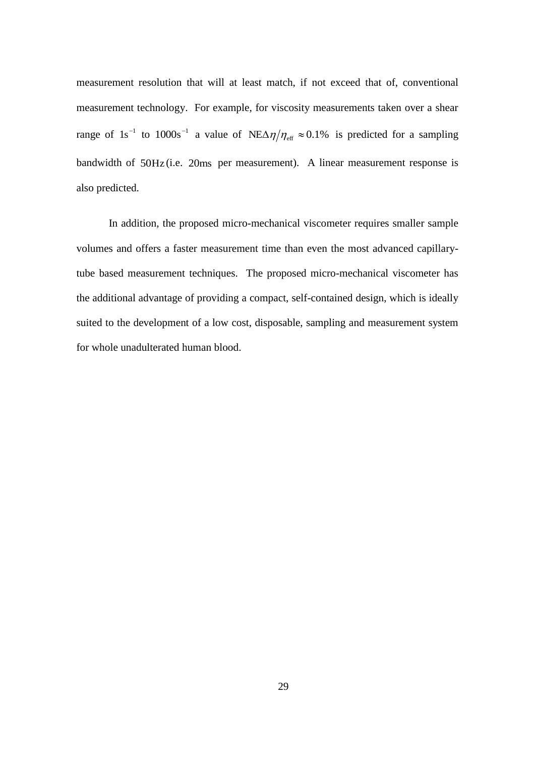measurement resolution that will at least match, if not exceed that of, conventional measurement technology. For example, for viscosity measurements taken over a shear range of 1s<sup>-1</sup> to 1000s<sup>-1</sup> a value of NE $\Delta \eta / \eta_{\text{eff}} \approx 0.1\%$  is predicted for a sampling bandwidth of 50Hz (i.e. 20ms per measurement). A linear measurement response is also predicted.

In addition, the proposed micro-mechanical viscometer requires smaller sample volumes and offers a faster measurement time than even the most advanced capillarytube based measurement techniques. The proposed micro-mechanical viscometer has the additional advantage of providing a compact, self-contained design, which is ideally suited to the development of a low cost, disposable, sampling and measurement system for whole unadulterated human blood.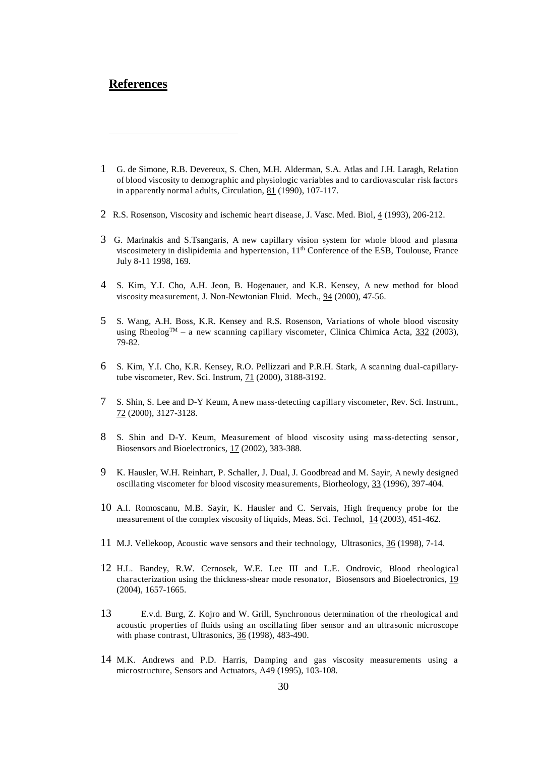#### **References**

<u>.</u>

- 1 G. de Simone, R.B. Devereux, S. Chen, M.H. Alderman, S.A. Atlas and J.H. Laragh, Relation of blood viscosity to demographic and physiologic variables and to cardiovascular risk factors in apparently normal adults, Circulation, 81 (1990), 107-117.
- 2 R.S. Rosenson, Viscosity and ischemic heart disease, J. Vasc. Med. Biol, 4 (1993), 206-212.
- 3 G. Marinakis and S.Tsangaris, A new capillary vision system for whole blood and plasma viscosimetery in dislipidemia and hypertension,  $11<sup>th</sup>$  Conference of the ESB, Toulouse, France July 8-11 1998, 169.
- 4 S. Kim, Y.I. Cho, A.H. Jeon, B. Hogenauer, and K.R. Kensey, A new method for blood viscosity measurement, J. Non-Newtonian Fluid. Mech., 94 (2000), 47-56.
- 5 S. Wang, A.H. Boss, K.R. Kensey and R.S. Rosenson, Variations of whole blood viscosity using RheologTM *–* a new scanning capillary viscometer, Clinica Chimica Acta, 332 (2003), 79-82.
- 6 S. Kim, Y.I. Cho, K.R. Kensey, R.O. Pellizzari and P.R.H. Stark, A scanning dual-capillarytube viscometer, Rev. Sci. Instrum, 71 (2000), 3188-3192.
- 7 S. Shin, S. Lee and D-Y Keum, A new mass-detecting capillary viscometer, Rev. Sci. Instrum., 72 (2000), 3127-3128.
- 8 S. Shin and D-Y. Keum, Measurement of blood viscosity using mass-detecting sensor, Biosensors and Bioelectronics, 17 (2002), 383-388.
- 9 K. Hausler, W.H. Reinhart, P. Schaller, J. Dual, J. Goodbread and M. Sayir, A newly designed oscillating viscometer for blood viscosity measurements, Biorheology, 33 (1996), 397-404.
- 10 A.I. Romoscanu, M.B. Sayir, K. Hausler and C. Servais, High frequency probe for the measurement of the complex viscosity of liquids, Meas. Sci. Technol, 14 (2003), 451-462.
- 11 M.J. Vellekoop, Acoustic wave sensors and their technology, Ultrasonics, 36 (1998), 7-14.
- 12 H.L. Bandey, R.W. Cernosek, W.E. Lee III and L.E. Ondrovic, Blood rheological characterization using the thickness-shear mode resonator, Biosensors and Bioelectronics, 19 (2004), 1657-1665.
- 13 E.v.d. Burg, Z. Kojro and W. Grill, Synchronous determination of the rheological and acoustic properties of fluids using an oscillating fiber sensor and an ultrasonic microscope with phase contrast, Ultrasonics, 36 (1998), 483-490.
- 14 M.K. Andrews and P.D. Harris, Damping and gas viscosity measurements using a microstructure, Sensors and Actuators, A49 (1995), 103-108.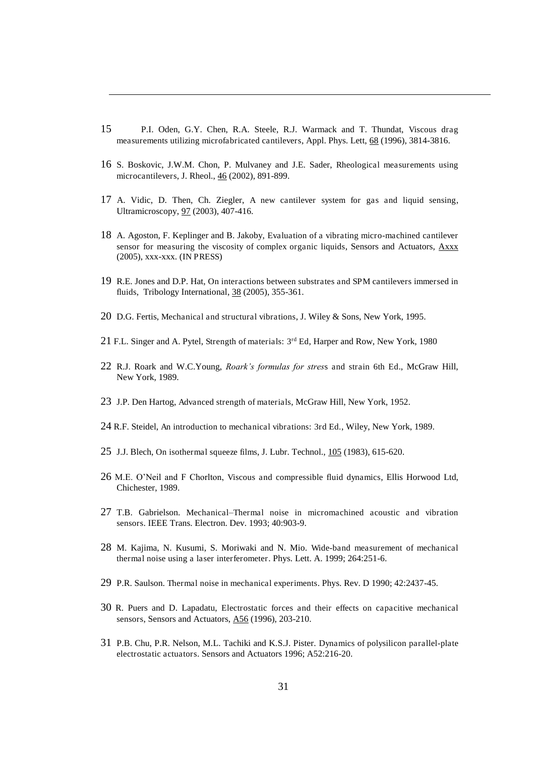15 P.I. Oden, G.Y. Chen, R.A. Steele, R.J. Warmack and T. Thundat, Viscous drag measurements utilizing microfabricated cantilevers, Appl. Phys. Lett, 68 (1996), 3814-3816.

-

- 16 S. Boskovic, J.W.M. Chon, P. Mulvaney and J.E. Sader, Rheological measurements using microcantilevers, J. Rheol., 46 (2002), 891-899.
- 17 A. Vidic, D. Then, Ch. Ziegler, A new cantilever system for gas and liquid sensing, Ultramicroscopy, 97 (2003), 407-416.
- 18 A. Agoston, F. Keplinger and B. Jakoby, Evaluation of a vibrating micro-machined cantilever sensor for measuring the viscosity of complex organic liquids, Sensors and Actuators, Axxx (2005), xxx-xxx. (IN PRESS)
- 19 R.E. Jones and D.P. Hat, On interactions between substrates and SPM cantilevers immersed in fluids, Tribology International, 38 (2005), 355-361.
- 20 D.G. Fertis, Mechanical and structural vibrations, J. Wiley & Sons, New York, 1995.
- 21 F.L. Singer and A. Pytel, Strength of materials: 3<sup>rd</sup> Ed, Harper and Row, New York, 1980
- 22 R.J. Roark and W.C.Young, *Roark's formulas for stres*s and strain 6th Ed., McGraw Hill, New York, 1989.
- 23 J.P. Den Hartog, Advanced strength of materials, McGraw Hill, New York, 1952.
- 24 R.F. Steidel, An introduction to mechanical vibrations: 3rd Ed., Wiley, New York, 1989.
- 25 J.J. Blech, On isothermal squeeze films, J. Lubr. Technol., 105 (1983), 615-620.
- 26 M.E. O'Neil and F Chorlton, Viscous and compressible fluid dynamics, Ellis Horwood Ltd, Chichester, 1989.
- 27 T.B. Gabrielson. Mechanical*–*Thermal noise in micromachined acoustic and vibration sensors. IEEE Trans. Electron. Dev. 1993; 40:903-9.
- 28 M. Kajima, N. Kusumi, S. Moriwaki and N. Mio. Wide-band measurement of mechanical thermal noise using a laser interferometer. Phys. Lett. A. 1999; 264:251-6.
- 29 P.R. Saulson. Thermal noise in mechanical experiments. Phys. Rev. D 1990; 42:2437-45.
- 30 R. Puers and D. Lapadatu, Electrostatic forces and their effects on capacitive mechanical sensors, Sensors and Actuators, A56 (1996), 203-210.
- 31 P.B. Chu, P.R. Nelson, M.L. Tachiki and K.S.J. Pister. Dynamics of polysilicon parallel-plate electrostatic actuators. Sensors and Actuators 1996; A52:216-20.